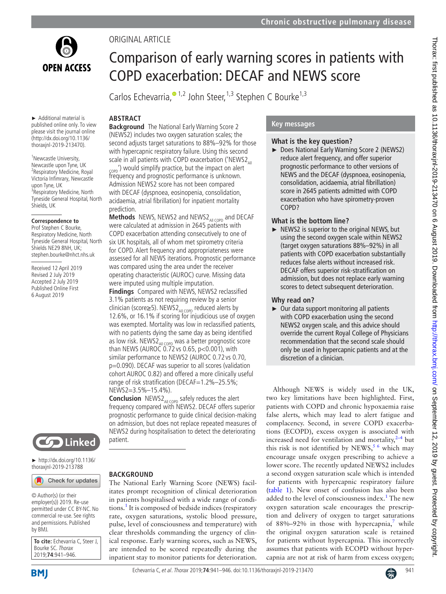

► Additional material is published online only. To view please visit the journal online [\(http://dx.doi.org/10.1136/](http://dx.doi.org/10.1136thoraxjnl-2019-213470) [thoraxjnl-2019-213470](http://dx.doi.org/10.1136thoraxjnl-2019-213470)).

<sup>1</sup>Newcastle University, Newcastle upon Tyne, UK Respiratory Medicine, Royal Victoria Infimrary, Newcastle upon Tyne, UK <sup>3</sup> <sup>3</sup>Respiratory Medicine, North Tyneside General Hospital, North Shields, UK

#### **Correspondence to**

Prof Stephen C Bourke, Respiratory Medicine, North Tyneside General Hospital, North Shields NE29 8NH, UK; stephen.bourke@nhct.nhs.uk

Received 12 April 2019 Revised 2 July 2019 Accepted 2 July 2019 Published Online First 6 August 2019



► [http://dx.doi.org/10.1136/](http://dx.doi.org/10.1136/thoraxjnl-2019-213788) [thoraxjnl-2019-213788](http://dx.doi.org/10.1136/thoraxjnl-2019-213788)

## Check for updates

© Author(s) (or their employer(s)) 2019. Re-use permitted under CC BY-NC. No commercial re-use. See rights and permissions. Published by BMJ.

**To cite:** Echevarria C, Steer J, Bourke SC. Thorax 2019;**74**:941–946.



# Original article

# Comparison of early warning scores in patients with COPD exacerbation: DECAF and NEWS score

Carlos Echevarria,<sup> $0.1,2$ </sup> John Steer,  $1,3$  Stephen C Bourke<sup>1,3</sup>

# **Abstract**

**Background** The National Early Warning Score 2 (NEWS2) includes two oxygen saturation scales; the second adjusts target saturations to 88%–92% for those with hypercapnic respiratory failure. Using this second scale in all patients with COPD exacerbation ('NEWS2 $_{\text{att}}$ )  $_{\mathsf{copD}}$ ') would simplify practice, but the impact on alert frequency and prognostic performance is unknown. Admission NEWS2 score has not been compared with DECAF (dyspnoea, eosinopenia, consolidation, acidaemia, atrial fibrillation) for inpatient mortality prediction.

**Methods** NEWS, NEWS2 and NEWS2<sub>All COPD</sub> and DECAF were calculated at admission in 2645 patients with COPD exacerbation attending consecutively to one of six UK hospitals, all of whom met spirometry criteria for COPD. Alert frequency and appropriateness were assessed for all NEWS iterations. Prognostic performance was compared using the area under the receiver operating characteristic (AUROC) curve. Missing data were imputed using multiple imputation.

**Findings** Compared with NEWS, NEWS2 reclassified 3.1% patients as not requiring review by a senior clinician (score≥5). NEWS2 $_{\text{All COPD}}$  reduced alerts by 12.6%, or 16.1% if scoring for injudicious use of oxygen was exempted. Mortality was low in reclassified patients, with no patients dying the same day as being identified as low risk.  $NEWS2_{All COPD}$  was a better prognostic score than NEWS (AUROC  $0.72$  vs 0.65, p<0.001), with similar performance to NEWS2 (AUROC 0.72 vs 0.70, p=0.090). DECAF was superior to all scores (validation cohort AUROC 0.82) and offered a more clinically useful range of risk stratification (DECAF=1.2%-25.5%; NEWS2=3.5%–15.4%).

**Conclusion** NEWS2<sub>All COPD</sub> safely reduces the alert frequency compared with NEWS2. DECAF offers superior prognostic performance to guide clinical decision-making on admission, but does not replace repeated measures of NEWS2 during hospitalisation to detect the deteriorating patient.

# **BACKGROUND**

The National Early Warning Score (NEWS) facilitates prompt recognition of clinical deterioration in patients hospitalised with a wide range of condi-tions.<sup>[1](#page-5-0)</sup> It is composed of bedside indices (respiratory rate, oxygen saturations, systolic blood pressure, pulse, level of consciousness and temperature) with clear thresholds commanding the urgency of clinical response. Early warning scores, such as NEWS, are intended to be scored repeatedly during the inpatient stay to monitor patients for deterioration.

# **Key messages**

#### **What is the key question?**

► Does National Early Warning Score 2 (NEWS2) reduce alert frequency, and offer superior prognostic performance to other versions of NEWS and the DECAF (dyspnoea, eosinopenia, consolidation, acidaemia, atrial fibrillation) score in 2645 patients admitted with COPD exacerbation who have spirometry-proven COPD?

# **What is the bottom line?**

► NEWS2 is superior to the original NEWS, but using the second oxygen scale within NEWS2 (target oxygen saturations 88%–92%) in all patients with COPD exacerbation substantially reduces false alerts without increased risk. DECAF offers superior risk-stratification on admission, but does not replace early warning scores to detect subsequent deterioration.

# **Why read on?**

► Our data support monitoring all patients with COPD exacerbation using the second NEWS2 oxygen scale, and this advice should override the current Royal College of Physicians recommendation that the second scale should only be used in hypercapnic patients and at the discretion of a clinician.

Thorax: first published as 10.1136/thoraxjnl-2019-213470 on 6 August 2019. Downloaded from http://thorax.bmj.com/ on September 12, 2019 by guest. Protected by copyright I horax: first published as 10.1136/thoraxjnl-2019-213470 on 6 August 2019. Downloaded from thtp://thorax.bmj.com/ on September 12, 2019 by guest. Protected by copyright. Although NEWS is widely used in the UK, two key limitations have been highlighted. First, patients with COPD and chronic hypoxaemia raise false alerts, which may lead to alert fatigue and complacency. Second, in severe COPD exacerbations (ECOPD), excess oxygen is associated with increased need for ventilation and mortality, $2-4$  but this risk is not identified by NEWS,<sup>56</sup> which may encourage unsafe oxygen prescribing to achieve a lower score. The recently updated NEWS2 includes a second oxygen saturation scale which is intended for patients with hypercapnic respiratory failure ([table](#page-1-0) 1). New onset of confusion has also been added to the level of consciousness index.<sup>[1](#page-5-0)</sup> The new oxygen saturation scale encourages the prescription and delivery of oxygen to target saturations of 88%-92% in those with hypercapnia,<sup>[7](#page-5-3)</sup> while the original oxygen saturation scale is retained for patients without hypercapnia. This incorrectly assumes that patients with ECOPD without hypercapnia are not at risk of harm from excess oxygen;

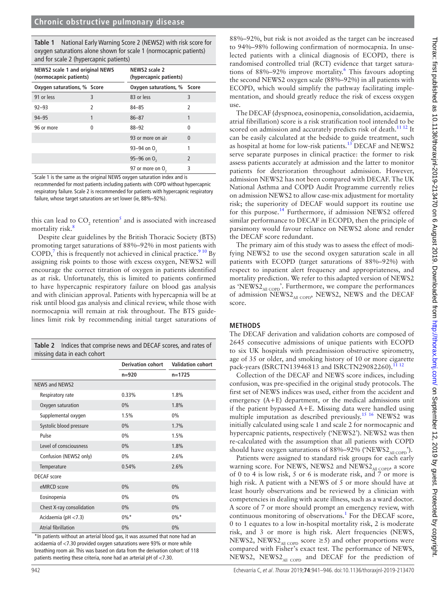<span id="page-1-0"></span>**Table 1** National Early Warning Score 2 (NEWS2) with risk score for oxygen saturations alone shown for scale 1 (normocapnic patients) and for scale 2 (hypercapnic patients)

| <b>NEWS2 scale 1 and original NEWS</b><br>(normocapnic patients) |                | NEWS2 scale 2<br>(hypercapnic patients) |                          |  |
|------------------------------------------------------------------|----------------|-----------------------------------------|--------------------------|--|
| Oxygen saturations, % Score                                      |                | Oxygen saturations, % Score             |                          |  |
| 91 or less                                                       | 3              | 83 or less                              | 3                        |  |
| $92 - 93$                                                        | $\overline{2}$ | $84 - 85$                               | 2                        |  |
| $94 - 95$                                                        | 1              | $86 - 87$                               | 1                        |  |
| 96 or more                                                       | 0              | 88-92                                   | $\Omega$                 |  |
|                                                                  |                | 93 or more on air                       | $\Omega$                 |  |
|                                                                  |                | $93 - 94$ on $0,$                       | 1                        |  |
|                                                                  |                | $95 - 96$ on $0,$                       | $\overline{\phantom{0}}$ |  |
|                                                                  |                | 97 or more on O <sub>2</sub>            | 3                        |  |

Scale 1 is the same as the original NEWS oxygen saturation index and is

recommended for most patients including patients with COPD without hypercapnic respiratory failure. Scale 2 is recommended for patients with hypercapnic respiratory failure, whose target saturations are set lower (ie, 88%–92%).

this can lead to  $CO_2$  retention<sup>[5](#page-5-2)</sup> and is associated with increased mortality risk.<sup>[8](#page-5-4)</sup>

Despite clear guidelines by the British Thoracic Society (BTS) promoting target saturations of 88%–92% in most patients with  $\text{COPD},^7$  this is frequently not achieved in clinical practice.<sup>[9 10](#page-5-5)</sup> By assigning risk points to those with excess oxygen, NEWS2 will encourage the correct titration of oxygen in patients identified as at risk. Unfortunately, this is limited to patients confirmed to have hypercapnic respiratory failure on blood gas analysis and with clinician approval. Patients with hypercapnia will be at risk until blood gas analysis and clinical review, while those with normocapnia will remain at risk throughout. The BTS guidelines limit risk by recommending initial target saturations of

<span id="page-1-1"></span>**Table 2** Indices that comprise news and DECAF scores, and rates of missing data in each cohort

|                                 | <b>Derivation cohort</b> | <b>Validation cohort</b> |
|---------------------------------|--------------------------|--------------------------|
|                                 | $n = 920$                | $n = 1725$               |
| <b>NEWS and NEWS2</b>           |                          |                          |
| Respiratory rate                | 0.33%                    | 1.8%                     |
| Oxygen saturation               | $0\%$                    | 1.8%                     |
| Supplemental oxygen             | 1.5%                     | $0\%$                    |
| Systolic blood pressure         | 0%                       | 1.7%                     |
| Pulse                           | 0%                       | 1.5%                     |
| Level of consciousness          | $0\%$                    | 1.8%                     |
| Confusion (NEWS2 only)          | 0%                       | 2.6%                     |
| Temperature                     | 0.54%                    | 2.6%                     |
| <b>DECAF</b> score              |                          |                          |
| eMRCD score                     | 0%                       | $0\%$                    |
| Eosinopenia                     | 0%                       | $0\%$                    |
| Chest X-ray consolidation       | $0\%$                    | $0\%$                    |
| Acidaemia (pH <7.3)             | $0\%$ *                  | $0\%*$                   |
| <b>Atrial fibrillation</b><br>. | $0\%$<br>1.1.1.1         | $0\%$                    |

\*In patients without an arterial blood gas, it was assumed that none had an acidaemia of <7.30 provided oxygen saturations were 93% or more while breathing room air. This was based on data from the derivation cohort: of 118 patients meeting these criteria, none had an arterial pH of <7.30.

88%–92%, but risk is not avoided as the target can be increased to 94%–98% following confirmation of normocapnia. In unselected patients with a clinical diagnosis of ECOPD, there is randomised controlled trial (RCT) evidence that target satura-tions of 88%-92% improve mortality.<sup>[6](#page-5-6)</sup> This favours adopting the second NEWS2 oxygen scale (88%–92%) in all patients with ECOPD, which would simplify the pathway facilitating implementation, and should greatly reduce the risk of excess oxygen use.

The DECAF (dyspnoea, eosinopenia, consolidation, acidaemia, atrial fibrillation) score is a risk stratification tool intended to be scored on admission and accurately predicts risk of death.<sup>11 12</sup> It can be easily calculated at the bedside to guide treatment, such as hospital at home for low-risk patients.[13](#page-5-8) DECAF and NEWS2 serve separate purposes in clinical practice: the former to risk assess patients accurately at admission and the latter to monitor patients for deterioration throughout admission. However, admission NEWS2 has not been compared with DECAF. The UK National Asthma and COPD Audit Programme currently relies on admission NEWS2 to allow case-mix adjustment for mortality risk; the superiority of DECAF would support its routine use for this purpose.<sup>14</sup> Furthermore, if admission NEWS2 offered similar performance to DECAF in ECOPD, then the principle of parsimony would favour reliance on NEWS2 alone and render the DECAF score redundant.

The primary aim of this study was to assess the effect of modifying NEWS2 to use the second oxygen saturation scale in all patients with ECOPD (target saturations of 88%–92%) with respect to inpatient alert frequency and appropriateness, and mortality prediction. We refer to this adapted version of NEWS2 as 'NEWS2 $_{\text{All COPD}}$ '. Furthermore, we compare the performances of admission NEWS2<sub>All COPD</sub>, NEWS2, NEWS and the DECAF score.

#### **Methods**

The DECAF derivation and validation cohorts are composed of 2645 consecutive admissions of unique patients with ECOPD to six UK hospitals with preadmission obstructive spirometry, age of 35 or older, and smoking history of 10 or more cigarette pack-years (ISRCTN13946813 and ISRCTN29082260).<sup>[11 12](#page-5-7)</sup>

Collection of the DECAF and NEWS score indices, including confusion, was pre-specified in the original study protocols. The first set of NEWS indices was used, either from the accident and emergency (A+E) department, or the medical admissions unit if the patient bypassed A+E. Missing data were handled using multiple imputation as described previously.<sup>15 16</sup> NEWS2 was initially calculated using scale 1 and scale 2 for normocapnic and hypercapnic patients, respectively ('NEWS2'). NEWS2 was then re-calculated with the assumption that all patients with COPD should have oxygen saturations of  $88\% - 92\%$  ('NEWS2<sub>All COPD</sub>').

Patients were assigned to standard risk groups for each early warning score. For NEWS, NEWS2 and NEWS2<sub>All COPD</sub>, a score of 0 to 4 is low risk, 5 or 6 is moderate risk, and 7 or more is high risk. A patient with a NEWS of 5 or more should have at least hourly observations and be reviewed by a clinician with competencies in dealing with acute illness, such as a ward doctor. A score of 7 or more should prompt an emergency review, with continuous monitoring of observations.<sup>[1](#page-5-0)</sup> For the DECAF score, 0 to 1 equates to a low in-hospital mortality risk, 2 is moderate risk, and 3 or more is high risk. Alert frequencies (NEWS, NEWS2, NEWS2<sub>All COPD</sub> score  $\geq$ 5) and other proportions were compared with Fisher's exact test. The performance of NEWS, NEWS2, NEWS2<sub>All COPD</sub> and DECAF for the prediction of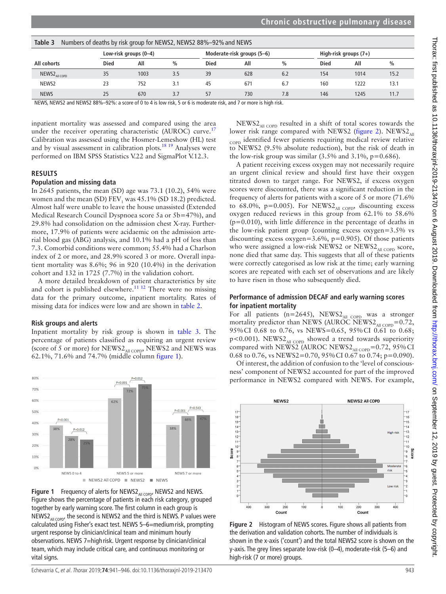<span id="page-2-0"></span>

| Table 3<br>Numbers of deaths by risk group for NEWS2, NEWS2 88%-92% and NEWS |             |                         |               |                            |     |                         |             |      |               |
|------------------------------------------------------------------------------|-------------|-------------------------|---------------|----------------------------|-----|-------------------------|-------------|------|---------------|
|                                                                              |             | Low-risk groups $(0-4)$ |               | Moderate-risk groups (5–6) |     | High-risk groups $(7+)$ |             |      |               |
| All cohorts                                                                  | <b>Died</b> | All                     | $\frac{0}{0}$ | <b>Died</b>                | All | $\%$                    | <b>Died</b> | All  | $\frac{0}{0}$ |
| NEWS2 <sub>All COPD</sub>                                                    | 35          | 1003                    | 3.5           | 39                         | 628 | 6.2                     | 154         | 1014 | 15.2          |
| NEWS2                                                                        | 23          | 752                     | 3.1           | 45                         | 671 | 6.7                     | 160         | 1222 | 13.1          |
| <b>NEWS</b>                                                                  | 25          | 670                     | 3.7           | 57                         | 730 | 7.8                     | 146         | 1245 | 11.7          |

NEWS, NEWS2 and NEWS2 88%–92%: a score of 0 to 4 is low risk, 5 or 6 is moderate risk, and 7 or more is high risk.

inpatient mortality was assessed and compared using the area under the receiver operating characteristic (AUROC) curve.<sup>[17](#page-5-11)</sup> Calibration was assessed using the Hosmer-Lemeshow (HL) test and by visual assessment in calibration plots.[18 19](#page-5-12) Analyses were performed on IBM SPSS Statistics V.22 and SigmaPlot V.12.3.

#### **Results**

## **Population and missing data**

In 2645 patients, the mean (SD) age was 73.1 (10.2), 54% were women and the mean (SD)  $\text{FEV}_1$  was 45.1% (SD 18.2) predicted. Almost half were unable to leave the house unassisted (Extended Medical Research Council Dyspnoea score 5a or 5b=47%), and 29.8% had consolidation on the admission chest X-ray. Furthermore, 17.9% of patients were acidaemic on the admission arterial blood gas (ABG) analysis, and 10.1% had a pH of less than 7.3. Comorbid conditions were common; 55.4% had a Charlson index of 2 or more, and 28.9% scored 3 or more. Overall inpatient mortality was 8.6%; 96 in 920 (10.4%) in the derivation cohort and 132 in 1725 (7.7%) in the validation cohort.

A more detailed breakdown of patient characteristics by site and cohort is published elsewhere.<sup>11 12</sup> There were no missing data for the primary outcome, inpatient mortality. Rates of missing data for indices were low and are shown in [table](#page-1-1) 2.

#### **Risk groups and alerts**

Inpatient mortality by risk group is shown in [table](#page-2-0) 3. The percentage of patients classified as requiring an urgent review (score of 5 or more) for  $\text{NEWS2}_{\text{All COPD}}$ ,  $\text{NEWS2}$  and  $\text{NEWS}$  was 62.1%, 71.6% and 74.7% (middle column [figure](#page-2-1) 1).



<span id="page-2-1"></span>**Figure 1** Frequency of alerts for NEWS2<sub>All COPD</sub>, NEWS2 and NEWS. Figure shows the percentage of patients in each risk category, grouped together by early warning score. The first column in each group is NEWS2 $_{\text{all comp}}$ , the second is NEWS2 and the third is NEWS. P values were calculated using Fisher's exact test. NEWS 5–6=mediumrisk, prompting urgent response by clinician/clinical team and minimum hourly observations. NEWS 7=high risk. Urgent response by clinician/clinical team, which may include critical care, and continuous monitoring or vital signs.

NEWS2<sub>All COPD</sub> resulted in a shift of total scores towards the lower risk range compared with NEWS2 [\(figure](#page-2-2) 2).  $NEWS2_{\text{All}}$ COPD identified fewer patients requiring medical review relative to NEWS2 (9.5% absolute reduction), but the risk of death in the low-risk group was similar  $(3.5\% \text{ and } 3.1\%, \text{p} = 0.686)$ .

A patient receiving excess oxygen may not necessarily require an urgent clinical review and should first have their oxygen titrated down to target range. For NEWS2, if excess oxygen scores were discounted, there was a significant reduction in the frequency of alerts for patients with a score of 5 or more (71.6% to 68.0%, p=0.005). For NEWS2 $_{\text{All COPD}}$ , discounting excess oxygen reduced reviews in this group from 62.1% to 58.6% (p=0.010), with little difference in the percentage of deaths in the low-risk patient group (counting excess oxygen=3.5% vs discounting excess oxygen=3.6%, p=0.905). Of those patients who were assigned a low-risk NEWS2 or  $NEWSZ_{All\ COPD}$  score, none died that same day. This suggests that all of these patients were correctly categorised as low risk at the time; early warning scores are repeated with each set of observations and are likely to have risen in those who subsequently died.

#### **Performance of admission DECAF and early warning scores for inpatient mortality**

For all patients (n=2645),  $NEWS2_{All\ COPD}$  was a stronger mortality predictor than NEWS (AUROC NEWS2<sub>All COPD</sub>=0.72, 95%CI 0.68 to 0.76, vs NEWS=0.65, 95%CI 0.61 to 0.68;  $p$ <0.001). NEWS2<sub>All COPD</sub> showed a trend towards superiority compared with NEWS2 (AUROC NEWS2 $_{\text{All COPD}}$ =0.72, 95%CI 0.68 to 0.76, vs NEWS2=0.70, 95% CI 0.67 to 0.74; p=0.090).

Of interest, the addition of confusion to the 'level of consciousness' component of NEWS2 accounted for part of the improved performance in NEWS2 compared with NEWS. For example,



<span id="page-2-2"></span>**Figure 2** Histogram of NEWS scores. Figure shows all patients from the derivation and validation cohorts. The number of individuals is shown in the x-axis ('count') and the total NEWS2 score is shown on the y-axis. The grey lines separate low-risk (0–4), moderate-risk (5–6) and high-risk (7 or more) groups.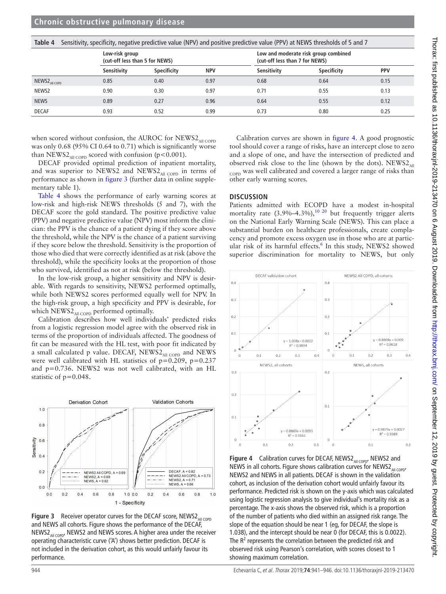| Table 4<br>Sensitivity, specificity, negative predictive value (NPV) and positive predictive value (PPV) at NEWS thresholds of 5 and 7 |                |                                |            |             |                                                                        |            |  |  |
|----------------------------------------------------------------------------------------------------------------------------------------|----------------|--------------------------------|------------|-------------|------------------------------------------------------------------------|------------|--|--|
|                                                                                                                                        | Low-risk group | (cut-off less than 5 for NEWS) |            |             | Low and moderate risk group combined<br>(cut-off less than 7 for NEWS) |            |  |  |
|                                                                                                                                        | Sensitivity    | Specificity                    | <b>NPV</b> | Sensitivity | <b>Specificity</b>                                                     | <b>PPV</b> |  |  |
| NEWS2 <sub>All COPD</sub>                                                                                                              | 0.85           | 0.40                           | 0.97       | 0.68        | 0.64                                                                   | 0.15       |  |  |
| NEWS2                                                                                                                                  | 0.90           | 0.30                           | 0.97       | 0.71        | 0.55                                                                   | 0.13       |  |  |
| <b>NEWS</b>                                                                                                                            | 0.89           | 0.27                           | 0.96       | 0.64        | 0.55                                                                   | 0.12       |  |  |
| <b>DECAF</b>                                                                                                                           | 0.93           | 0.52                           | 0.99       | 0.73        | 0.80                                                                   | 0.25       |  |  |

<span id="page-3-1"></span>**Table 4** Sensitivity, specificity, negative predictive value (NPV) and positive predictive value (PPV) at NEWS thresholds of 5 and 7

when scored without confusion, the AUROC for  $NEWS2<sub>All</sub>$  copp was only 0.68 (95% CI 0.64 to 0.71) which is significantly worse than NEWS2 $_{\text{All COPD}}$  scored with confusion (p<0.001).

DECAF provided optimal prediction of inpatient mortality, and was superior to NEWS2 and NEWS2<sub>All COPD</sub> in terms of performance as shown in [figure](#page-3-0) 3 (further data in [online supple](https://dx.doi.org/10.1136/thoraxjnl-2019-213470)[mentary table 1](https://dx.doi.org/10.1136/thoraxjnl-2019-213470)).

[Table](#page-3-1) 4 shows the performance of early warning scores at low-risk and high-risk NEWS thresholds (5 and 7), with the DECAF score the gold standard. The positive predictive value (PPV) and negative predictive value (NPV) most inform the clinician: the PPV is the chance of a patient dying if they score above the threshold, while the NPV is the chance of a patient surviving if they score below the threshold. Sensitivity is the proportion of those who died that were correctly identified as at risk (above the threshold), while the specificity looks at the proportion of those who survived, identified as not at risk (below the threshold).

In the low-risk group, a higher sensitivity and NPV is desirable. With regards to sensitivity, NEWS2 performed optimally, while both NEWS2 scores performed equally well for NPV. In the high-risk group, a high specificity and PPV is desirable, for which NEWS2<sub>All COPD</sub> performed optimally.

Calibration describes how well individuals' predicted risks from a logistic regression model agree with the observed risk in terms of the proportion of individuals affected. The goodness of fit can be measured with the HL test, with poor fit indicated by a small calculated p value. DECAF,  $NEWS2$ <sub>All COPD</sub> and  $NEWS$ were well calibrated with HL statistics of  $p=0.209$ ,  $p=0.237$ and p=0.736. NEWS2 was not well calibrated, with an HL statistic of p=0.048.



<span id="page-3-0"></span>**Figure 3** Receiver operator curves for the DECAF score, NEWS2<sub>All COPD</sub> and NEWS all cohorts. Figure shows the performance of the DECAF,  $NEWS2_{All\text{ COPP}}$ , NEWS2 and NEWS scores. A higher area under the receiver operating characteristic curve ('A') shows better prediction. DECAF is not included in the derivation cohort, as this would unfairly favour its performance.

Calibration curves are shown in [figure](#page-3-2) 4. A good prognostic tool should cover a range of risks, have an intercept close to zero and a slope of one, and have the intersection of predicted and observed risk close to the line (shown by the dots).  $NEWS2_{\text{at}}$ COPD was well calibrated and covered a larger range of risks than other early warning scores.

#### **Discussion**

Patients admitted with ECOPD have a modest in-hospital mortality rate  $(3.9\% - 4.3\%)$ ,<sup>10 20</sup> but frequently trigger alerts on the National Early Warning Scale (NEWS). This can place a substantial burden on healthcare professionals, create complacency and promote excess oxygen use in those who are at partic-ular risk of its harmful effects.<sup>[6](#page-5-6)</sup> In this study, NEWS2 showed superior discrimination for mortality to NEWS, but only



<span id="page-3-2"></span>Figure 4 Calibration curves for DECAF, NEWS2<sub>All COPD</sub>, NEWS2 and NEWS in all cohorts. Figure shows calibration curves for NEWS2 $_{All \text{ COPP}}$ NEWS2 and NEWS in all patients. DECAF is shown in the validation cohort, as inclusion of the derivation cohort would unfairly favour its performance. Predicted risk is shown on the y-axis which was calculated using logistic regression analysis to give individual's mortality risk as a percentage. The x-axis shows the observed risk, which is a proportion of the number of patients who died within an assigned risk range. The slope of the equation should be near 1 (eg, for DECAF, the slope is 1.038), and the intercept should be near 0 (for DECAF, this is 0.0022). The  $R^2$  represents the correlation between the predicted risk and observed risk using Pearson's correlation, with scores closest to 1 showing maximum correlation.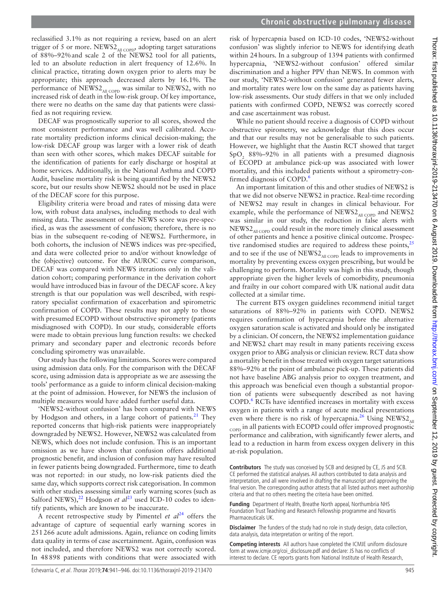reclassified 3.1% as not requiring a review, based on an alert trigger of 5 or more.  $NEWS2_{All\ COPD}$ , adopting target saturations of 88%–92%and scale 2 of the NEWS2 tool for all patients, led to an absolute reduction in alert frequency of 12.6%. In clinical practice, titrating down oxygen prior to alerts may be appropriate; this approach decreased alerts by 16.1%. The performance of  $NEWS2<sub>All COPD</sub>$  was similar to NEWS2, with no increased risk of death in the low-risk group. Of key importance, there were no deaths on the same day that patients were classified as not requiring review.

DECAF was prognostically superior to all scores, showed the most consistent performance and was well calibrated. Accurate mortality prediction informs clinical decision-making; the low-risk DECAF group was larger with a lower risk of death than seen with other scores, which makes DECAF suitable for the identification of patients for early discharge or hospital at home services. Additionally, in the National Asthma and COPD Audit, baseline mortality risk is being quantified by the NEWS2 score, but our results show NEWS2 should not be used in place of the DECAF score for this purpose.

Eligibility criteria were broad and rates of missing data were low, with robust data analyses, including methods to deal with missing data. The assessment of the NEWS score was pre-specified, as was the assessment of confusion; therefore, there is no bias in the subsequent re-coding of NEWS2. Furthermore, in both cohorts, the inclusion of NEWS indices was pre-specified, and data were collected prior to and/or without knowledge of the (objective) outcome. For the AUROC curve comparison, DECAF was compared with NEWS iterations only in the validation cohort; comparing performance in the derivation cohort would have introduced bias in favour of the DECAF score. A key strength is that our population was well described, with respiratory specialist confirmation of exacerbation and spirometric confirmation of COPD. These results may not apply to those with presumed ECOPD without obstructive spirometry (patients misdiagnosed with COPD). In our study, considerable efforts were made to obtain previous lung function results: we checked primary and secondary paper and electronic records before concluding spirometry was unavailable.

Our study has the following limitations. Scores were compared using admission data only. For the comparison with the DECAF score, using admission data is appropriate as we are assessing the tools' performance as a guide to inform clinical decision-making at the point of admission. However, for NEWS the inclusion of multiple measures would have added further useful data.

'NEWS2-without confusion' has been compared with NEWS by Hodgson and others, in a large cohort of patients. $^{21}$  $^{21}$  $^{21}$  They reported concerns that high-risk patients were inappropriately downgraded by NEWS2. However, NEWS2 was calculated from NEWS, which does not include confusion. This is an important omission as we have shown that confusion offers additional prognostic benefit, and inclusion of confusion may have resulted in fewer patients being downgraded. Furthermore, time to death was not reported: in our study, no low-risk patients died the same day, which supports correct risk categorisation. In common with other studies assessing similar early warning scores (such as Salford NEWS), $^{22}$  $^{22}$  $^{22}$  Hodgson *et al*<sup>23</sup> used ICD-10 codes to identify patients, which are known to be inaccurate.

A recent retrospective study by Pimentel *et al*<sup>24</sup> offers the advantage of capture of sequential early warning scores in 251266 acute adult admissions. Again, reliance on coding limits data quality in terms of case ascertainment. Again, confusion was not included, and therefore NEWS2 was not correctly scored. In 48898 patients with conditions that were associated with

risk of hypercapnia based on ICD-10 codes, 'NEWS2-without confusion' was slightly inferior to NEWS for identifying death within 24hours. In a subgroup of 1394 patients with confirmed hypercapnia, 'NEWS2-without confusion' offered similar discrimination and a higher PPV than NEWS. In common with our study, 'NEWS2-without confusion' generated fewer alerts, and mortality rates were low on the same day as patients having low-risk assessments. Our study differs in that we only included patients with confirmed COPD, NEWS2 was correctly scored and case ascertainment was robust.

While no patient should receive a diagnosis of COPD without obstructive spirometry, we acknowledge that this does occur and that our results may not be generalisable to such patients. However, we highlight that the Austin RCT showed that target  $SpO<sub>2</sub> 88%–92%$  in all patients with a presumed diagnosis of ECOPD at ambulance pick-up was associated with lower mortality, and this included patients without a spirometry-confirmed diagnosis of COPD.<sup>6</sup>

An important limitation of this and other studies of NEWS2 is that we did not observe NEWS2 in practice. Real-time recording of NEWS2 may result in changes in clinical behaviour. For example, while the performance of  $NEWS2<sub>All COPD</sub>$  and  $NEWS2$ was similar in our study, the reduction in false alerts with  $NEWS2<sub>All COPD</sub>$  could result in the more timely clinical assessment of other patients and hence a positive clinical outcome. Prospective randomised studies are required to address these points,  $25$ and to see if the use of  $NEWS2<sub>All COPD</sub>$  leads to improvements in mortality by preventing excess oxygen prescribing, but would be challenging to perform. Mortality was high in this study, though appropriate given the higher levels of comorbidity, pneumonia and frailty in our cohort compared with UK national audit data collected at a similar time.

The current BTS oxygen guidelines recommend initial target saturations of 88%–92% in patients with COPD. NEWS2 requires confirmation of hypercapnia before the alternative oxygen saturation scale is activated and should only be instigated by a clinician. Of concern, the NEWS2 implementation guidance and NEWS2 chart may result in many patients receiving excess oxygen prior to ABG analysis or clinician review. RCT data show a mortality benefit in those treated with oxygen target saturations 88%–92% at the point of ambulance pick-up. These patients did not have baseline ABG analysis prior to oxygen treatment, and this approach was beneficial even though a substantial proportion of patients were subsequently described as not having COPD.<sup>6</sup> RCTs have identified increases in mortality with excess oxygen in patients with a range of acute medical presentations even where there is no risk of hypercapnia.<sup>26</sup> Using NEWS2<sub>All</sub> copp in all patients with ECOPD could offer improved prognostic performance and calibration, with significantly fewer alerts, and lead to a reduction in harm from excess oxygen delivery in this at-risk population.

**Contributors** The study was conceived by SCB and designed by CE, JS and SCB. CE performed the statistical analyses. All authors contributed to data analysis and interpretation, and all were involved in drafting the manuscript and approving the final version. The corresponding author attests that all listed authors meet authorship criteria and that no others meeting the criteria have been omitted.

**Funding** Department of Health, Breathe North appeal, Northumbria NHS Foundation Trust Teaching and Research Fellowship programme and Novartis Pharmaceuticals UK.

**Disclaimer** The funders of the study had no role in study design, data collection, data analysis, data interpretation or writing of the report.

**Competing interests** All authors have completed the ICMJE uniform disclosure form at www.icmje.org/coi\_disclosure.pdf and declare: JS has no conflicts of interest to declare. CE reports grants from National Institute of Health Research,